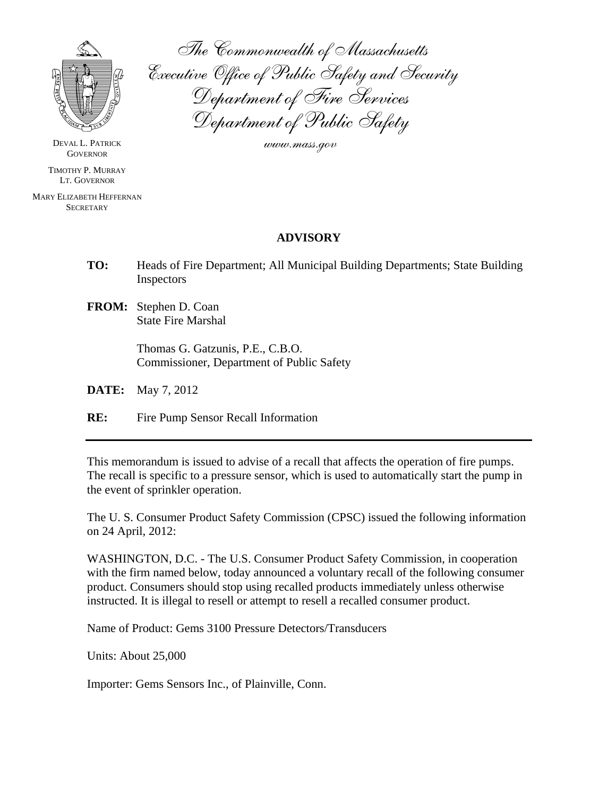

The Commonwealth of Massachusetts Executive Office of Public Safety and Security Department of Fire Services Department of Public Safety

www.mass.gov

DEVAL L. PATRICK **GOVERNOR** 

TIMOTHY P. MURRAY LT. GOVERNOR

MARY ELIZABETH HEFFERNAN **SECRETARY** 

## **ADVISORY**

- **TO:** Heads of Fire Department; All Municipal Building Departments; State Building Inspectors
- **FROM:** Stephen D. Coan State Fire Marshal

 Thomas G. Gatzunis, P.E., C.B.O. Commissioner, Department of Public Safety

**DATE:** May 7, 2012

**RE:** Fire Pump Sensor Recall Information

This memorandum is issued to advise of a recall that affects the operation of fire pumps. The recall is specific to a pressure sensor, which is used to automatically start the pump in the event of sprinkler operation.

The U. S. Consumer Product Safety Commission (CPSC) issued the following information on 24 April, 2012:

WASHINGTON, D.C. - The U.S. Consumer Product Safety Commission, in cooperation with the firm named below, today announced a voluntary recall of the following consumer product. Consumers should stop using recalled products immediately unless otherwise instructed. It is illegal to resell or attempt to resell a recalled consumer product.

Name of Product: Gems 3100 Pressure Detectors/Transducers

Units: About 25,000

Importer: Gems Sensors Inc., of Plainville, Conn.